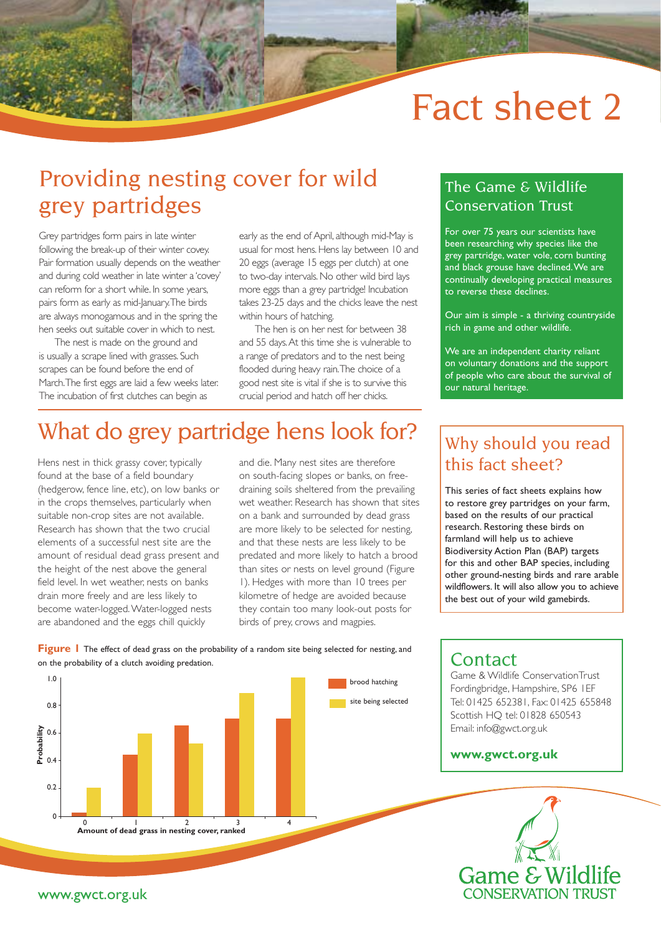# Fact sheet 2

# Providing nesting cover for wild grey partridges

Grey partridges form pairs in late winter following the break-up of their winter covey. Pair formation usually depends on the weather and during cold weather in late winter a 'covey' can reform for a short while. In some years, pairs form as early as mid-January. The birds are always monogamous and in the spring the hen seeks out suitable cover in which to nest.

The nest is made on the ground and is usually a scrape lined with grasses. Such scrapes can be found before the end of March. The first eggs are laid a few weeks later. The incubation of first clutches can begin as

early as the end of April, although mid-May is usual for most hens. Hens lay between 10 and 20 eggs (average 15 eggs per clutch) at one to two-day intervals. No other wild bird lays more eggs than a grey partridge! Incubation takes 23-25 days and the chicks leave the nest within hours of hatching.

The hen is on her nest for between 38 and 55 days. At this time she is vulnerable to a range of predators and to the nest being flooded during heavy rain. The choice of a good nest site is vital if she is to survive this crucial period and hatch off her chicks.

# What do grey partridge hens look for?

Hens nest in thick grassy cover, typically found at the base of a field boundary (hedgerow, fence line, etc), on low banks or in the crops themselves, particularly when suitable non-crop sites are not available. Research has shown that the two crucial elements of a successful nest site are the amount of residual dead grass present and the height of the nest above the general field level. In wet weather, nests on banks drain more freely and are less likely to become water-logged. Water-logged nests are abandoned and the eggs chill quickly

and die. Many nest sites are therefore on south-facing slopes or banks, on freedraining soils sheltered from the prevailing wet weather. Research has shown that sites on a bank and surrounded by dead grass are more likely to be selected for nesting, and that these nests are less likely to be predated and more likely to hatch a brood than sites or nests on level ground (Figure 1). Hedges with more than 10 trees per kilometre of hedge are avoided because they contain too many look-out posts for birds of prey, crows and magpies.

brood hatching

### The Game & Wildlife Conservation Trust

For over 75 years our scientists have been researching why species like the grey partridge, water vole, corn bunting and black grouse have declined. We are continually developing practical measures to reverse these declines.

Our aim is simple - a thriving countryside rich in game and other wildlife.

We are an independent charity reliant on voluntary donations and the support of people who care about the survival of our natural heritage.

### Why should you read this fact sheet?

This series of fact sheets explains how to restore grey partridges on your farm, based on the results of our practical research. Restoring these birds on farmland will help us to achieve Biodiversity Action Plan (BAP) targets for this and other BAP species, including other ground-nesting birds and rare arable wildflowers. It will also allow you to achieve the best out of your wild gamebirds.

**Figure 1** The effect of dead grass on the probability of a random site being selected for nesting, and on the probability of a clutch avoiding predation.



### **Contact**

Game & Wildlife ConservationTrust Fordingbridge, Hampshire, SP6 1EF Tel: 01425 652381, Fax: 01425 655848 Scottish HQ tel: 01828 650543 Email: info@gwct.org.uk

#### **www.gwct.org.uk**



#### www.gwct.org.uk